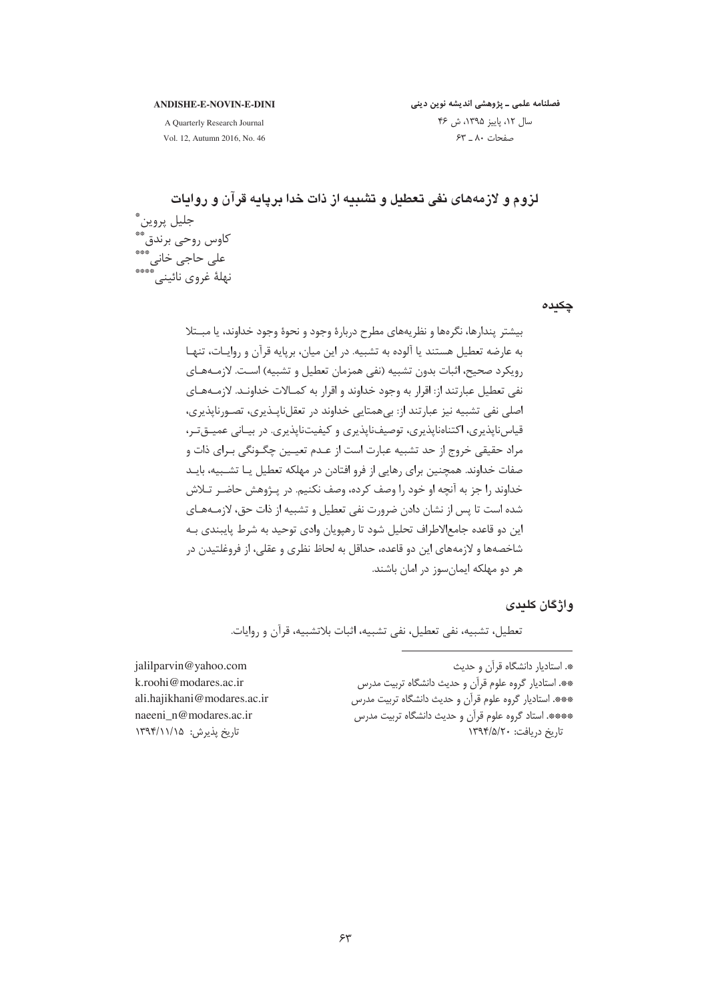#### **ANDISHE-E-NOVIN-E-DINI**

فصلنامه علمی ـ پژوهشی اندیشه نوین دینی سال ١٢، پاييز ١٣٩۵، ش ۴۶ صفحات ٨٠ \_ ۶۳

A Quarterly Research Journal Vol. 12, Autumn 2016, No. 46

چکیدہ

بيشتر يندارها، نگرەها و نظريەهاي مطرح دربارۀ وجود و نحوۀ وجود خداوند، يا مبــتلا به عارضه تعطیل هستند یا آلوده به تشبیه. در این میان، برپایه قرآن و روایـات، تنهـا رويكرد صحيح، اثبات بدون تشبيه (نفي همزمان تعطيل و تشبيه) اسـت. لازمــههـاي نفی تعطیل عبارتند از: اقرار به وجود خداوند و اقرار به کمـالات خداونـد. لازمـههـای اصلي نفي تشبيه نيز عبارتند از: بي همتايي خداوند در تعقل نايــذيري، تصــورنايذيري، قياس ناپذيري، اکتناەناپذيري، توصيفناپذيري و کيفيتناپذيري. در بيـاني عميــقتـر، مراد حقیقی خروج از حد تشبیه عبارت است از عـدم تعیــین چگــونگی بـرای ذات و صفات خداوند. همچنین برای رهایی از فرو افتادن در مهلکه تعطیل یـا تشـبیه، بایـد خداوند را جز به آنچه او خود را وصف کرده، وصف نکنیم. در پـژوهش حاضـر تـلاش شده است تا پس از نشان دادن ضرورت نفی تعطیل و تشبیه از ذات حق، لازمـههـای این دو قاعده جامعالاطراف تحلیل شود تا رهپویان وادی توحید به شرط پایبندی بـه شاخصهها و لازمههای این دو قاعده، حداقل به لحاظ نظری و عقلی، از فروغلتیدن در هر دو مهلکه ایمانسوز در امان باشند.

# و اژ گان کلیدی

تعطيل، تشبيه، نفي تعطيل، نفي تشبيه، اثبات بلاتشبيه، قرآن و روايات.

\*. استادیار دانشگاه قرآن و حدیث \*\*. استادیار گروه علوم قرآن و حدیث دانشگاه تربیت مدرس \*\*\*. استادیار گروه علوم قرآن و حدیث دانشگاه تربیت مدرس \*\*\*\*. استاد گروه علوم قرآن و حدیث دانشگاه تربیت مدرس تاریخ دریافت: ١٣٩۴/۵/٢٠

jalilparvin@yahoo.com k.roohi@modares.ac.ir ali.haiikhani@modares.ac.ir naeeni n@modares.ac.ir تاريخ پذيرش: ١٣٩۴/١١/١٥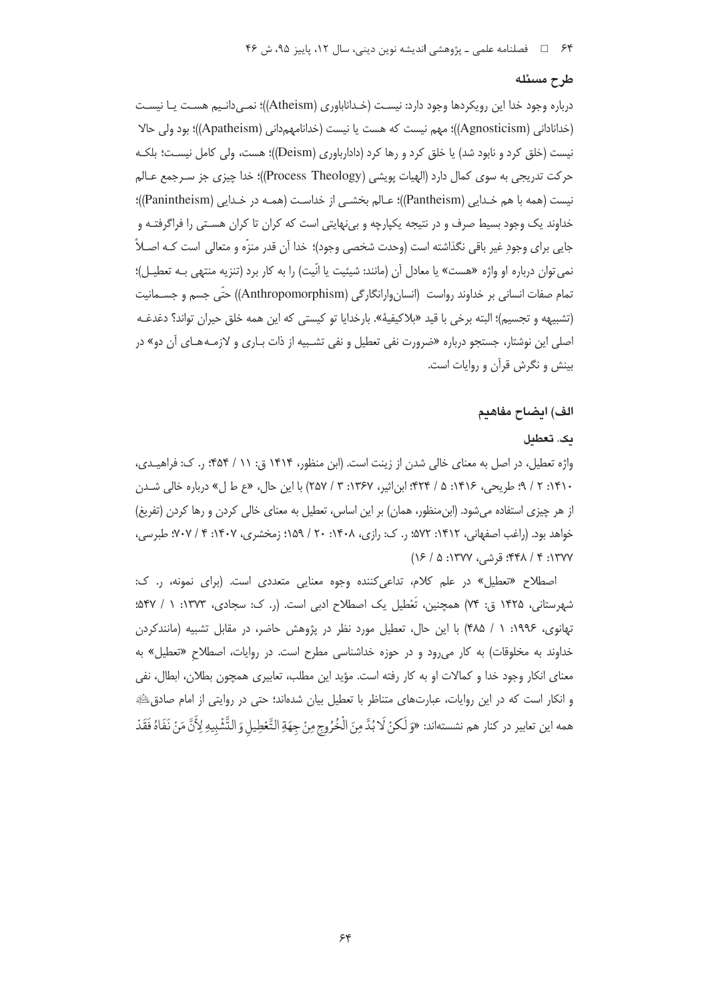#### طرح مسئله

درباره وجود خدا این رویکردها وجود دارد: نیسـت (خـداناباوری (Atheism))؛ نمـی‹دانـیم هسـت یـا نیسـت (خدانادانی (Agnosticism))؛ مهم نیست که هست یا نیست (خدانامهمدانی (Apatheism))؛ بود ولی حالا نیست (خلق کرد و نابود شد) یا خلق کرد و رها کرد (دادارباوری (Deism))؛ هست، ولی کامل نیست؛ بلکـه حركت تدريجي به سوى كمال دارد (الهيات يويشي (Process Theology))؛ خدا چيزي جز سـرجمع عـالم نیست (همه با هم خـدایی (Pantheism))؛ عـالم بخشـی از خداسـت (همـه در خـدایی (Panintheism))؛ خداوند یک وجود بسیط صرف و در نتیجه یکپارچه و بینهایتی است که کران تا کران هسـتی را فراگرفتـه و جايي براي وجودِ غير باقي نگذاشته است (وحدت شخصي وجود)؛ خدا آن قدر منزِّه و متعالى است كـه اصـلاً ، نمي توان درباره او واژه «هست» يا معادل آن (مانند: شيئيت يا انّيت) را به كار برد (تنزيه منتهي بـه تعطيـل)؛ تمام صفات انسانی بر خداوند رواست (انسان وارانگارگی (Anthropomorphism)) حتّی جسم و جســمانیت (تشبيهه و تجسيم)؛ البته برخي با قيد «بلاكيفية». بارخدايا تو كيستي كه اين همه خلق حيران تواند؟ دغدغـه اصلی این نوشتار، جستجو درباره «ضرورت نفی تعطیل و نفی تشـبیه از ذات بـاری و لازمـههـای آن دو» در بینش و نگرش قرآن و روایات است.

#### الف) ايضاح مفاهيم

#### ىك. تعطىل

واژه تعطیل، در اصل به معنای خالی شدن از زینت است. (ابن منظور، ۱۴۱۴ ق: ۱۱ / ۴۵۴؛ ر. ک: فراهیـدی، ۱۴۱۰: ۲ / ۹؛ طریحی، ۱۴۱۶: ۵ / ۴۲۴؛ ابن|ثیر، ۱۳۶۷: ۳ / ۲۵۷) با این حال، «ع ط ل» درباره خالی شدن از هر چیزی استفاده میشود. (ابنِ منظور، همان) بر این اساس، تعطیل به معنای خالی کردن و رها کردن (تفریغ) خواهد بود. (راغب اصفهانی، ۱۴۱۲: ۵۷۲؛ ر. ک: رازی، ۱۴۰۸: ۲۰ / ۱۵۹؛ زمخشری، ۱۴۰۷؛ ۴ / ۷۰۷؛ طبرسی، ۱۳۷۷: ۴ / ۴۴۸؛ قرشی، ۱۳۷۷: ۵ / ۱۶)

اصطلاح «تعطیل» در علم کلام، تداعی کننده وجوه معنایی متعددی است. (برای نمونه، ر. ک: شهرستانی، ۱۴۲۵ ق: ۷۴) همچنین، تُعْطیل یک اصطلاح ادبی است. (ر. ک: سجادی، ۱۳۷۳: ۱ / ۵۴۷: تهانوی، ۱۹۹۶: ۱ / ۴۸۵) با این حال، تعطیل مورد نظر در پژوهش حاضر، در مقابل تشبیه (مانندکردن خداوند به مخلوقات) به کار می رود و در حوزه خداشناسی مطرح است. در روایات، اصطلاح «تعطیل» به معنای انکار وجود خدا و کمالات او به کار رفته است. مؤید این مطلب، تعابیری همچون بطلان، ابطال، نفی و انکار است که در این روایات، عبارتهای متناظر با تعطیل بیان شدهاند؛ حتی در روایتی از امام صادق الله همه اين تعابير در كنار هم نشستهاند: «وَلَكنْ لَا بُدَّ مِنَ الْخُرُوجِ مِنْ جِهَةِ التَّعْطِيلِ وَالتَّشْبِيهِ لِأَنَّ مَنْ نَفَاهُ فَقَدْ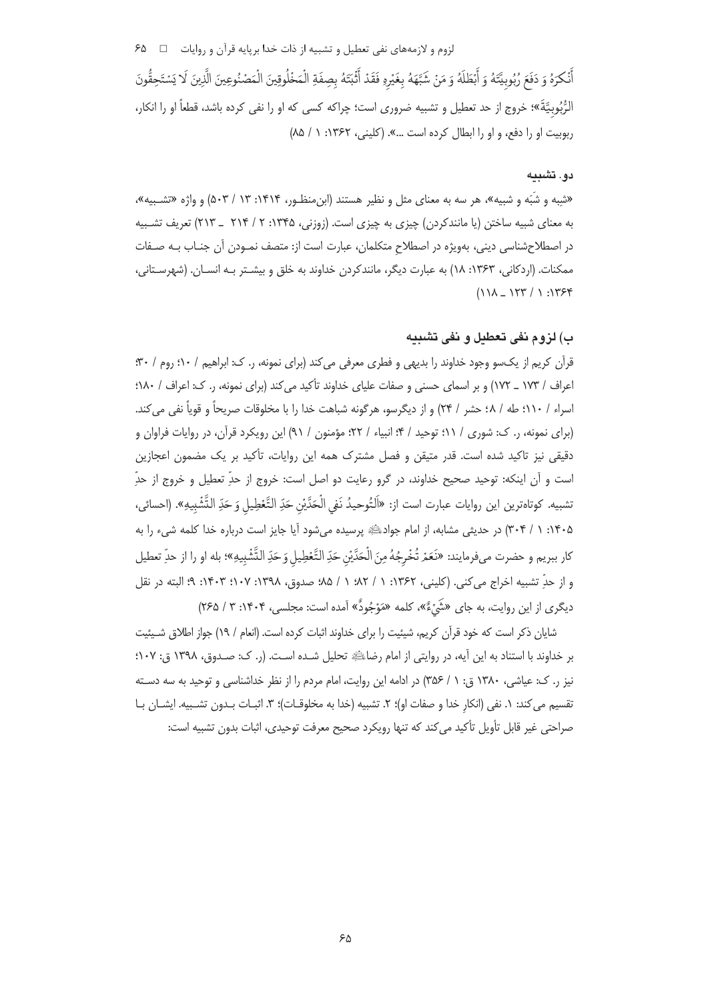لزوم و لازمههای نفی تعطیل و تشبیه از ذات خدا برپایه قرآن و روایات ⊥ \_\_\_ ۶۵

أَنْكَرَهُ وَ دَفَعَ رُبُوبيَّتَهُ وَ أَبْطَلَهُ وَ مَنْ شَبَّهَهُ بِغَيْرِهِ فَقَدْ أَثْبَتَهُ بِصِفَةِ الْمَخْلُوقِينَ الْمَصْنُوعِينَ الَّذِينَ لَا يَسْتَحِقُّونَ الرُّبُوبيَّةَ»؛ خروج از حد تعطيل و تشبيه ضروري است؛ چراكه كسي كه او را نفي كرده باشد، قطعاً او را انكار، ربوبيت او را دفع، و او را ابطال كرده است ...». (كليني، ١٣۶٢: ١ / ٨٥)

## دو . تشىيە

«شبه و شبّه و شبیه»، هر سه به معنای مثل و نظیر هستند (ابن منظـور، ۱۴۱۴: ۵۰۳ / ۵۰۳) و واژه «تشـبیه»، به معنای شبیه ساختن (یا مانندکردن) چیزی به چیزی است. (زوزنی، ۱۳۴۵: ۲ / ۲۱۴ \_ ۲۱۳) تعریف تشـبیه در اصطلاحشناسی دینی، بهویژه در اصطلاح متکلمان، عبارت است از: متصف نمـودن آن جنـاب بـه صـفات ممكنات. (اردكاني، ۱۳۶۳: ۱۸) به عبارت ديگر، مانندكردن خداوند به خلق و بيشـتر بـه انسـان. (شهرسـتاني،  $(111 - 177 / 1.1759$ 

# ب) لزوم نفي تعطيل و نفي تشبيه

قرآن کریم از یکسو وجود خداوند را بدیهی و فطری معرفی می کند (برای نمونه، ر. ک: ابراهیم / ۱۰؛ روم / ۳۰؛ اعراف / ۱۷۳ \_ ۱۷۲) و بر اسمای حسنی و صفات علیای خداوند تأکید می کند (برای نمونه، ٫. ک: اعراف / ۱۸۰؛ اسراء / ١١٠؛ طه / ٤٨؛ حشر / ٢٣) و از ديگرسو، هرگونه شباهت خدا را با مخلوقات صريحاً و قوياً نفي مي كند. (برای نمونه، ر. ک: شوری / ۱۱؛ توحید / ۴؛ انبیاء / ۲۲؛ مؤمنون / ۹۱) این رویکرد قرآن، در روایات فراوان و دقیقی نیز تاکید شده است. قدر متیقن و فصل مشترک همه این روایات، تأکید بر یک مضمون اعجازین است و آن اینکه: توحید صحیح خداوند، در گرو رعایت دو اصل است: خروج از حدِّ تعطیل و خروج از حدِّ تشبيه. كوتاهترين اين روايات عبارت است از: «اَلتُوحيدُ نَفي الْحَدَّيْنِ حَدِّ التَّعْطِيلِ وَ حَدِّ التَّشْبِيهِ». (احسائي، ۱۴۰۵: ۱ / ۳۰۴) در حدیثی مشابه، از امام جوادﷺ پرسیده میشود آیا جایز است درباره خدا کلمه شیء را به كار ببريم و حضرت ميفرمايند: «نَعَمْ تُخْرِجُهُ مِنَ الْحَدَّيْنِ حَدِّ التَّعْطِيل وَحَدِّ التَّشْبِيهِ»؛ بله او را از حدِّ تعطيل و از حدِّ تشبيه اخراج مي كني. (كليني، ١٣۶٢: ١ / ٨٢؛ ١ / ٨۵؛ صدوق، ١٣٩٨: ١٠٧: ٩٣: ٩؛ البته در نقل دیگری از این روایت، به جای «شَیْءٌ»، کلمه «مَوْجُودٌ» آمده است: مجلسی، ۱۴۰۴: ۳ / ۲۶۵)

شایان ذکر است که خود قرآن کریم، شیئیت را برای خداوند اثبات کرده است. (انعام / ١٩) جواز اطلاق شـیئیت بر خداوند با استناد به این آیه، در روایتی از امام رضایای تحلیل شـده اسـت. (ر. ک: صـدوق، ۱۳۹۸ ق: ۱۰۷؛ نیز ر. ک: عیاشی، ۱۳۸۰ ق: ۱ / ۳۵۶) در ادامه این روایت، امام مردم را از نظر خداشناسی و توحید به سه دسته تقسيم مي كند: ١. نفي (انكار خدا و صفات او)؛ ٢. تشبيه (خدا به مخلوقـات)؛ ٣. اثبـات بـدون تشـبيه. ايشـان بـا صراحتی غیر قابل تأویل تأکید می کند که تنها رویکرد صحیح معرفت توحیدی، اثبات بدون تشبیه است: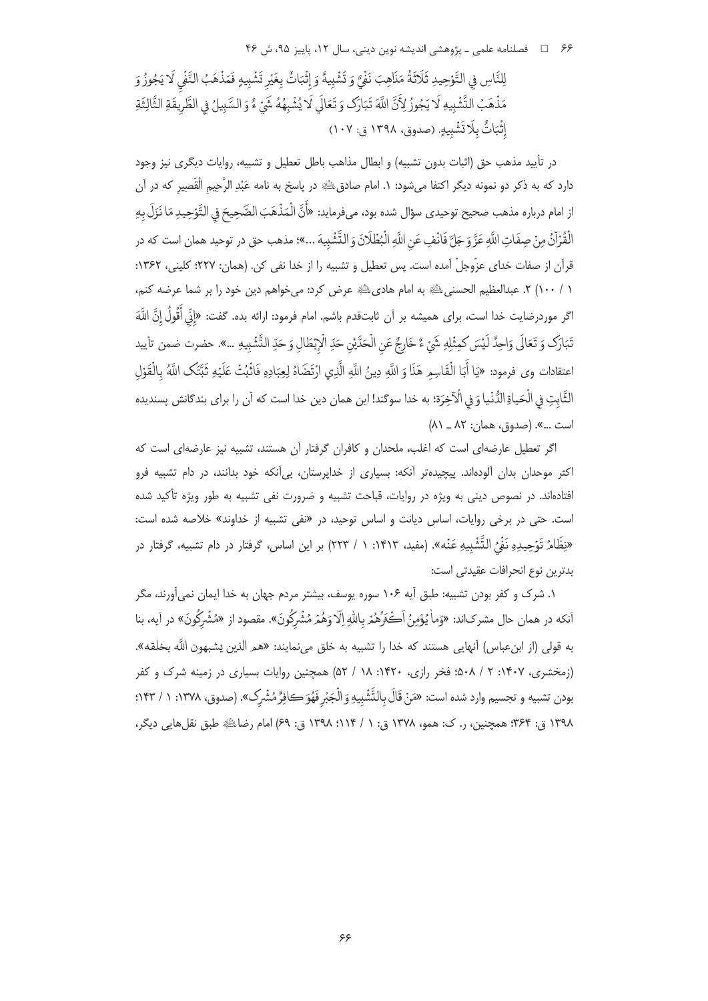۶۶ □ فصلنامه علمی ـ یژوهشی اندیشه نوین دینی، سال ۱۲، پاییز ۹۵، ش ۴۶

لِلنَّاسِ فِي التَّوْحِيدِ ثَلَاثَةُ مَذَاهِبَ نَفْيٌ وَ تَشْبِيهٌ وَ إِثْبَاتٌ بِغَيْرِ تَشْبِيهِ فَمَذْهَبُ النَّفْي لَا يَجُوزُ وَ مَذْهَبُ التَّشْبِيهِ لَا يَجُوزُ لِأَنَّ اللَّهَ تَبَارَكَ وَ تَعَالَى لَا يُشْبِهُهُ شَيْءٌ وَ السَّبِيلُ في الطَّرِيقَةِ الثَّالِثَةِ إِثْبَاتٌ بِلَا تَشْبِيهٍ. (صدوق، ١٣٩٨ ق: ١٠٧)

در تأييد مذهب حق (اثبات بدون تشبيه) و ابطال مذاهب باطل تعطيل و تشبيه، روايات ديگرى نيز وجود دارد که به ذکر دو نمونه دیگر اکتفا میشود: ۱. امام صادقﷺ در پاسخ به نامه عَبْدِ الرَّحِیم الْقَصِیر که در آن از امام درباره مذهب صحيح توحيدي سؤال شده بود، ميفرمايد: «أَنَّ الْمَذْهَبَ الصَّحِيحَ في التَّوْحِيدِ مَا نَزَلَ بِهِ الْقُرْآنُ مِنْ صِفَاتِ اللَّهِ عَزَّ وَجَلَّ فَانْفِ عَنِ اللَّهِ الْبُظْلَانَ وَ التَّشْبِيهَ ...»؛ مذهب حق در توحيد همان است كه در قرآن از صفات خدای عزّوجلّ آمده است. پس تعطیل و تشبیه را از خدا نفی کن. (همان: ۲۲۷؛ کلینی، ۱۳۶۲: ١ / ١٠٠) ٢. عبدالعظيم الحسنيﷺ به امام هاديﷺ عرض كرد: ميخواهم دين خود را بر شما عرضه كنم، اگر موردرضايت خدا است، براى هميشه بر آن ثابتقدم باشم. امام فرمود: ارائه بده. گفت: «إِنِّي أَقُولُ إِنَّ اللَّهَ تَبَارَك وَ تَعَالَى وَاحِدٌ لَيْسَ كمِثْلِهِ شَيْءٌ ءٌ خَارِجٌ عَنِ الْحَدَّيْنِ حَدِّ الْإِبْطَالِ وَ حَدِّ التّشبيهِ ...». حضرت ضمن تأييد اعتقادات وى فرمود: «يَا أَبَا الْقَاسِمِ هَذَا وَ اللَّهِ دِينُ اللَّهِ الَّذِي ارْتَضَاهُ لِعِبَادِهِ فَاثْبُتْ عَلَيْهِ ثَبَّتَكَ اللَّهُ بِالْقَوْلِ الثَّابتِ في الْحَياةِ الدُّنْيا وَ في الْآخِرَة؛ به خدا سوگند! اين همان دين خدا است كه آن را براي بندگانش پسنديده است ...». (صدوق، همان: ٨٢ \_ ٨١)

اگر تعطیل عارضهای است که اغلب، ملحدان و کافران گرفتار آن هستند، تشبیه نیز عارضهای است که اکثر موحدان بدان آلودهاند. پیچیدهتر آنکه: بسیاری از خداپرستان، بیآنکه خود بدانند، در دام تشبیه فرو افتادهاند. در نصوص دینی به ویژه در روایات، قباحت تشبیه و ضرورت نفی تشبیه به طور ویژه تأکید شده است. حتی در برخی روایات، اساس دیانت و اساس توحید، در «نفی تشبیه از خداوند» خلاصه شده است: «نِظَامُ تَوْحِيدِهِ نَفْيُ التَّشْبِيهِ عَنْه». (مفيد، ١٤١٣: ١ / ٢٢٣) بر اين اساس، گرفتار در دام تشبيه، گرفتار در بدترين نوع انحرافات عقيدتي است:

۱. شرک و کفر بودن تشبیه: طبق آیه ۱۰۶ سوره یوسف، بیشتر مردم جهان به خدا ایمان نمیآورند، مگر أنكه در همان حال مشركاند: «وَماْ يُؤْمِنُ اَكْثَرُهُمْ بِاللّهِ اِلّا وَهُمْ مُشْرِكُونَ». مقصود از «مُشْرِكُونَ» در آيه، بنا به قولي (از ابنءباس) أنهايي هستند كه خدا را تشبيه به خلق ميiمايند: «همر الذين يشبهون اللَّه بخلقه». (زمخشری، ۱۴۰۷: ۲ / ۵۰۸؛ فخر رازی، ۱۴۲۰: ۱۸ / ۵۲) همچنین روایات بسیاری در زمینه شرک و کفر بودن تشبيه و تجسيم وارد شده است: «مَنْ قَالَ بِالتَّشْبِيهِ وَ الْجَبْرِ فَهُوَ كافِرُّ مُشْرِك». (صدوق، ١٣٧٨: ١ / ١٤٣: ١٣٩٨ ق: ٣۶۴؛ همچنين، ر. ک: همو، ١٣٧٨ ق: ١ / ١١۴؛ ١٣٩٨ ق: ٤٩) امام رضاياﷺ طبق نقل هايي ديگر،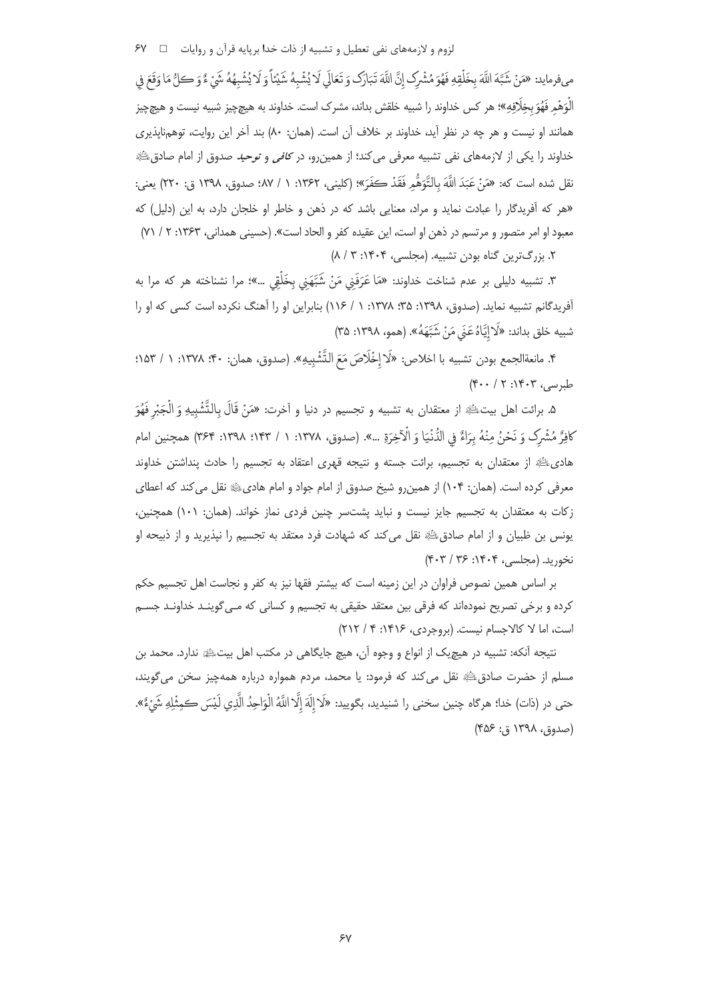لزوم و لازمههای نفی تعطیل و تشبیه از ذات خدا بریایه قرآن و روایات □ FV

مىفرمايد: «مَنْ شَبَّهَ اللَّهَ بِخَلْقِهِ فَهُوَ مُشْرِك إنَّ اللَّهَ تَبَارَك وَ تَعَالَى لَا يُشْبِهُ شَيْئاً وَ لَا يُشْبِهُهُ شَيْءٌ وَ كلُّ مَا وَقَعَ في الْوَهْمِ فَهُوَ بخِلَافِهِ»؛ هر كس خداوند را شبيه خلقش بداند، مشرك است. خداوند به هيچچيز شبيه نيست و هيچچيز همانند او نیست و هر چه در نظر آید، خداوند بر خلاف آن است. (همان: ۸۰) بند آخر این روایت، توهمناپذیری خداوند را یکی از لازمههای نفی تشبیه معرفی میکند؛ از همینررو، در *کافی* و *توحید* صدوق از امام صادقﷺ نقل شده است كه: «مَنْ عَبَدَ اللَّهَ بِالتَّوَهُّمِ فَقَدْ كَفَرَ»؛ (كليني، ١٣۶٢: ١ / ٨٧؛ صدوق، ١٣٩٨ ق: ٢٢٠) يعني: «هر که آفریدگار را عبادت نماید و مراد، معنایی باشد که در ذهن و خاطر او خلجان دارد، به این (دلیل) که معبود او امر متصور و مرتسم در ذهن او است، این عقیده کفر و الحاد است». (حسینی همدانی، ۱۳۶۳: ۲ / ۷۱)

۲. بزرگ ترین گناه بودن تشبیه. (مجلسی، ۱۴۰۴: ۳ / ۸)

٣. تشبيه دليلي بر عدم شناخت خداوند: «مَا عَرَفَنِي مَنْ شَبَّهَنِي بِخَلْقِي …»؛ مرا نشناخته هر كه مرا به آفریدگانم تشبیه نماید. (صدوق، ۱۳۹۸: ۳۵؛ ۱۳۷۸: ۱ / ۱۱۶) بنابراین او را آهنگ نکرده است کسی که او را شبيه خلق بداند: «لَا إِيَّاهُ عَنَى مَنْ شَبَّهَهُ». (همو، ١٣٩٨: ٣۵)

۴. مانعةالجمع بودن تشبيه با اخلاص: «لَا إخْلَاصَ مَعَ النَّشْبِيهِ». (صدوق، همان: ۴۰؛ ۱۳۷۸: ۱ / ۱۵۳: طبوبسر، ۱۴۰۳: ۲۰ / ۴۰۰)

۵. برائت اهل بيتﷺ از معتقدان به تشبيه و تجسيم در دنيا و آخرت: «مَنْ قَالَ بِالتَّشْبِيهِ وَ الْجَبْرِ فَهُوَ كافِرٌّ مُشْرِكٍ وَ نَحْنُ منْهُ بِرَاءٌ فِي الدُّنْيَا وَ الْآخِرَةِ …». (صدوق، ١٣٧٨: ١٣ / ١٣٣٣: ٣٤٣) همجنين امام هادی علیه از معتقدان به تجسیم، برائت جسته و نتیجه قهری اعتقاد به تجسیم را حادث پنداشتن خداوند معرفی کرده است. (همان: ۱۰۴) از همین٫رو شیخ صدوق از امام جواد و امام هادیﷺ نقل می کند که اعطای زكات به معتقدان به تجسيم جايز نيست و نبايد پشتسر چنين فردى نماز خواند. (همان: ١٠١) همچنين، يونس بن ظبيان و از امام صادقﷺ نقل مي كند كه شهادت فرد معتقد به تجسيم را نپذيريد و از ذبيحه او نخوريد. (مجلسي، ۱۴۰۴: ۳۶/ ۴۰۳)

بر اساس همین نصوص فراوان در این زمینه است که بیشتر فقها نیز به کفر و نجاست اهل تجسیم حکم کرده و برخی تصریح نمودهاند که فرقی بین معتقد حقیقی به تجسیم و کسانی که مـی گوینـد خداونـد جسـم است، اما لا كالاجسام نيست. (بروجردي، ١۴١۶: ۴ / ٢١٢)

نتیجه آنکه: تشبیه در هیچیک از انواع و وجوه آن، هیچ جایگاهی در مکتب اهل بیتﷺ ندارد. محمد بن مسلم از حضرت صادق ﷺ نقل می کند که فرمود: یا محمد، مردم همواره درباره همهچیز سخن میگویند، حتي در (ذات) خدا؛ هرگاه چنين سخني را شنيديد، بگوييد: «لَا إِلَهَ إِلَّا اللَّهُ الْوَاحِدُ الَّذي لَيْسَ كمثْلهِ شَيْءٌ».  $(485:3191)$  (صدوق)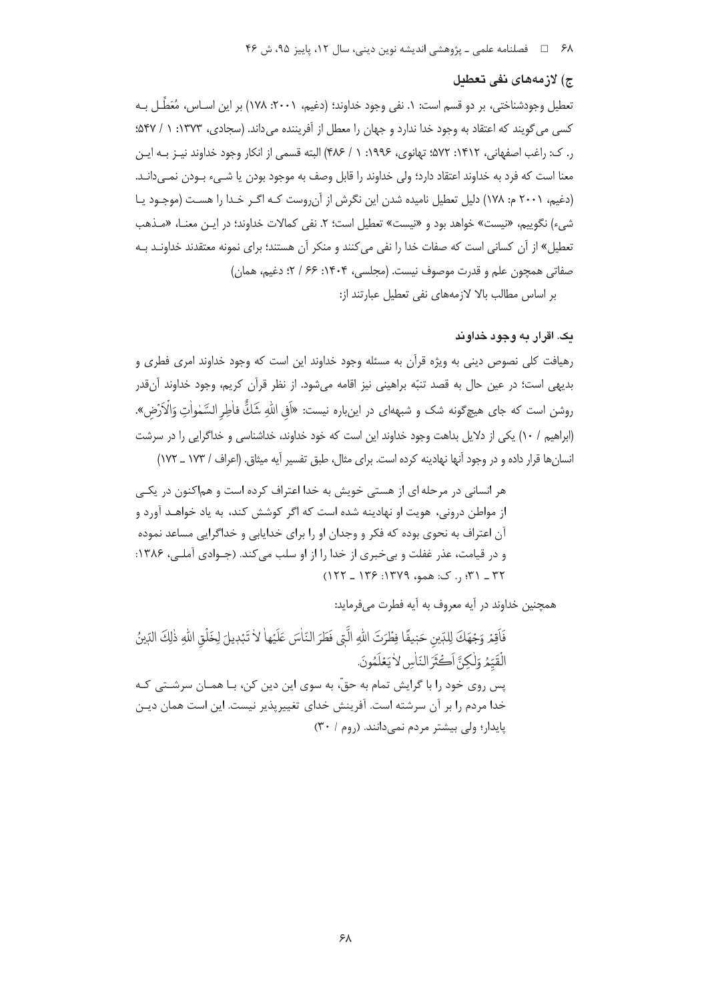#### ج) لازمەھاي نفي تعطىل

تعطیل وجودشناختی، بر دو قسم است: ۱. نفی وجود خداوند؛ (دغیم، ۲۰۰۱: ۱۷۸) بر این اسـاس، مُعَطَّـل بـه کسی می گویند که اعتقاد به وجود خدا ندارد و جهان را معطل از آفریننده می داند. (سجادی، ۱۳۷۳: ۱ / ۵۴۷: ر. ک: راغب اصفهانی، ۱۴۱۲: ۵۷۲: تهانوی، ۱۹۹۶: ۱ / ۴۸۶) البته قسمی از انکار وجود خداوند نیبز به ایبز معنا است که فرد به خداوند اعتقاد دارد؛ ولی خداوند را قابل وصف به موجود بودن یا شـبیء بـودن نمـبیدانـد. (دغیم، ۲۰۰۱ م: ۱۷۸) دلیل تعطیل نامیده شدن این نگرش از آن روست کـه اگـر خـدا را هسـت (موجـود یـا شيء) نگوييم، «نيست» خواهد بود و «نيست» تعطيل است؛ ٢. نفي كمالات خداوند؛ در ايـن معنـا، «مـذهب تعطیل» از آن کسانی است که صفات خدا را نفی می کنند و منکر آن هستند؛ برای نمونه معتقدند خداونـد بـه صفاتي همچون علم و قدرت موصوف نيست. (مجلسي، ۱۴۰۴: ۶۶ / ۲؛ دغيم، همان) بر اساس مطالب بالا لازمههای نفی تعطیل عبارتند از:

## يک. اقرار په وچود خداوند

رهیافت کلی نصوص دینی به ویژه قرآن به مسئله وجود خداوند این است که وجود خداوند امری فطری و بدیهی است؛ در عین حال به قصد تنبّه براهینی نیز اقامه میشود. از نظر قرآن کریم، وجود خداوند آنقدر روشن است که جای هیچگونه شک و شبههای در اینباره نیست: «اَفِی اللّٰهِ شَكٌّ فاٰطِر السَّمٰواٰتِ وَالۡاَرۡضِ». (ابراهیم / ۱۰) یکی از دلایل بداهت وجود خداوند این است که خود خداوند، خداشناسی و خداگرایی را در سرشت انسان ها قرار داده و در وجود آنها نهادینه کرده است. برای مثال، طبق تفسیر آیه میثاق. (اعراف / ۱۷۳ \_ ۱۷۲)

هر انساني در مرحله اي از هستي خويش به خدا اعتراف کرده است و هماکنون در پکس از مواطن درونی، هویت او نهادینه شده است که اگر کوشش کند، به یاد خواهـد آورد و آن اعتراف به نحوی بوده که فکر و وجدان او را برای خدایابی و خداگرایی مساعد نموده و در قیامت، عذر غفلت و بی خبری از خدا را از او سلب می کند. (جـوادی آملـی، ۱۳۸۶: ٣٢ \_ ٣١: , . ک: همو، ١٣٧٩: ١٣۶ \_ ١٢٢ \_ ١٢٢)

همچنین خداوند در آیه معروف به آیه فطرت می فرماید:

فَاقِمْ وَجْهَكَ لِلدِّينِ حَبْيفًا فِطْرَتَ اللهِ الَّتِي فَطَرَ النّاسَ عَلَيْها لا تَبْدِيلَ لِخَلْق اللهِ ذٰلِكَ الدِّينُ الْقَيِّمُروَلْكِنَّ أَكْثَرَ النَّاسِ لِأَبَعْلَمُونَ. پس روی خود را با گرایش تمام به حقّ، به سوی این دین کن، بـا همـان سرشـتی کـه خدا مردم را بر آن سرشته است. آفرینش خدای تغییرپذیر نیست. این است همان دیـن یایدار؛ ولی بیشتر مردم نمی دانند. (روم / ۳۰)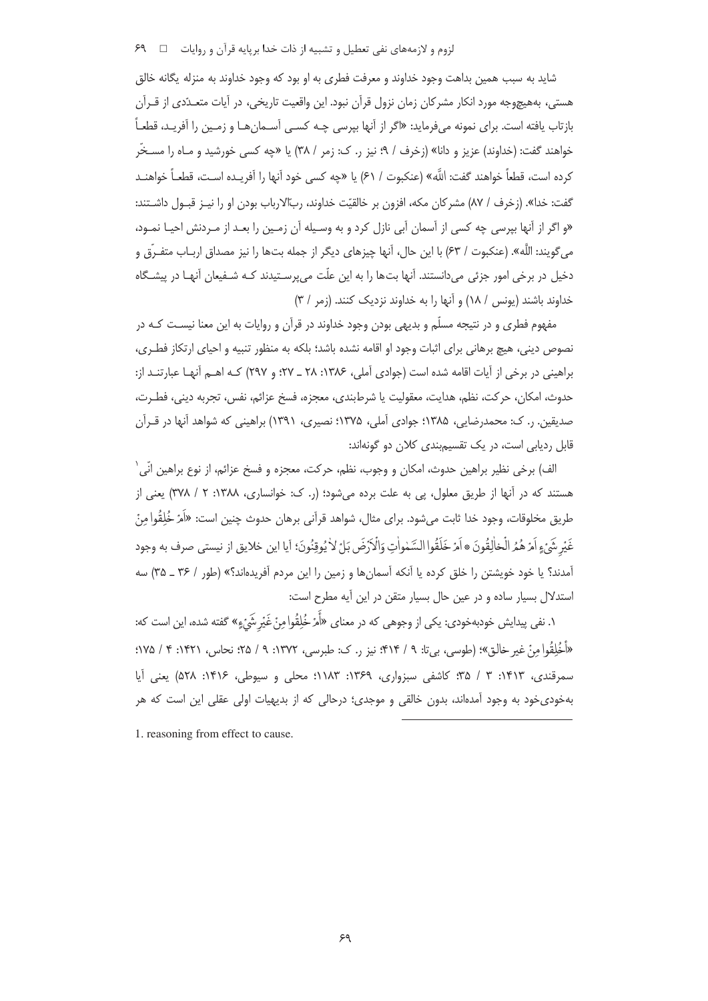شايد به سبب همين بداهت وجود خداوند و معرفت فطري به او بود كه وجود خداوند به منزله يگانه خالق هستی، بههیچوجه مورد انکار مشرکان زمان نزول قرآن نبود. این واقعیت تاریخی، در آیات متعـدّدی از قـرآن بازتاب یافته است. برای نمونه میفرماید: «اگر از آنها بیرسی چـه کسـبی آسـمانهـا و زمـین را آفریـد، قطعـاً خواهند گفت: (خداوند) عزیز و دانا» (زخرف / ۹: نیز ر. ک: زمر / ۳۸) یا «چه کسی خورشید و مـاه را مســخّر كرده است، قطعاً خواهند گفت: اللَّه» (عنكبوت / ۶۱) با «جه كسي خود آنها را آفريـده اسـت، قطعـاً خواهنـد گفت: خدا». (زخرف / ٨٧) مشركان مكه، افزون بر خالقيّت خداوند، رِبّالارباب بودن او را نيـز قبـول داشــتند: «و اگر از آنها بپرسی چه کسی از آسمان آبی نازل کرد و به وسـیله آن زمـین را بعـد از مـردنش احیـا نمـود، مي گويند: اللَّه». (عنكبوت / ۶۳) با اين حال، آنها چيزهاي ديگر از جمله بتها را نيز مصداق اربـاب متفـرّق و دخیل در برخی امور جزئی میدانستند. آنها بتها را به این علّت می پرسـتیدند کـه شـفیعان آنهـا در پیشـگاه خداوند باشند (یونس / ١٨) و آنها را به خداوند نزدیک کنند. (زمر / ٣)

مفهوم فطری و در نتیجه مسلّم و بدیهی بودن وجود خداوند در قرآن و روایات به این معنا نیسـت کـه در نصوص دینی، هیچ برهانی برای اثبات وجود او اقامه نشده باشد؛ بلکه به منظور تنبیه و احیای ارتکاز فطـری، براهینی در برخی از آیات اقامه شده است (جوادی آملی، ۱۳۸۶: ۲۸ \_ ۲۷؛ و ۲۹۷) کـه اهـم آنهـا عبارتنـد از: حدوث، امكان، حركت، نظم، هدايت، معقوليت يا شرطبندي، معجزه، فسخ عزائم، نفس، تجربه ديني، فطـرت، صدیقین. ر. ک: محمدرضایی، ۱۳۸۵؛ جوادی آملی، ۱۳۷۵؛ نصیری، ۱۳۹۱) براهینی که شواهد آنها در قـرآن قابل ردیابی است، در یک تقسیمبندی کلان دو گونهاند:

الف) برخي نظير براهين حدوث، امكان و وجوب، نظم، حركت، معجزه و فسخ عزائم، از نوع براهين انِّي` هستند که در آنها از طریق معلول، پی به علت برده میشود؛ (ر. ک: خوانساری، ۱۳۸۸: ۲ / ۳۷۸) یعنی از طريق مخلوقات، وجود خدا ثابت مي شود. براي مثال، شواهد قرآني برهان حدوث چنين است: «اَمَرْ خُلِقُوا مِنْ غَيْرِ شَيْءٍ اَمْرْ هُمُرالْخالِقُونَ ۞ اَمْرْ خَلَقُوا السَّمْواٰتِ وَالْأَرْضَ بَلْ لاٰ يُوقِنُونَ؛ آيا اين خلايق از نيستى صرف به وجود آمدند؟ یا خود خویشتن را خلق کرده یا آنکه آسمانها و زمین را این مردم آفریدهاند؟» (طور / ۳۶ ـ ۳۵) سه استدلال بسیار ساده و در عین حال بسیار متقن در این آیه مطرح است:

۱. نفی پیدایش خودبهخودی: یکی از وجوهی که در معنای «اََمرْ خُلِقُوا مِنْ غَیْرِ شَیْءٍ» گفته شده، این است که: «أَخُلِقُوا مِنْ غير خالق»؛ (طوسى، بيتا: ٩ / ۴۱۴؛ نيز ر. ک: طبرسى، ١٣٧٢: ٩ / ٢۵؛ نحاس، ١۴٢١: ۴ / ١٧۵؛ سمرقندی، ۱۴۱۳: ۳ / ۳۵؛ کاشفی سبزواری، ۱۳۶۹: ۱۱۸۳؛ محلی و سیوطی، ۱۴۱۶: ۵۲۸) یعنی آیا بهخودیخود به وجود آمدهاند، بدون خالقی و موجدی؛ درحالی که از بدیهیات اولی عقلی این است که هر

1. reasoning from effect to cause.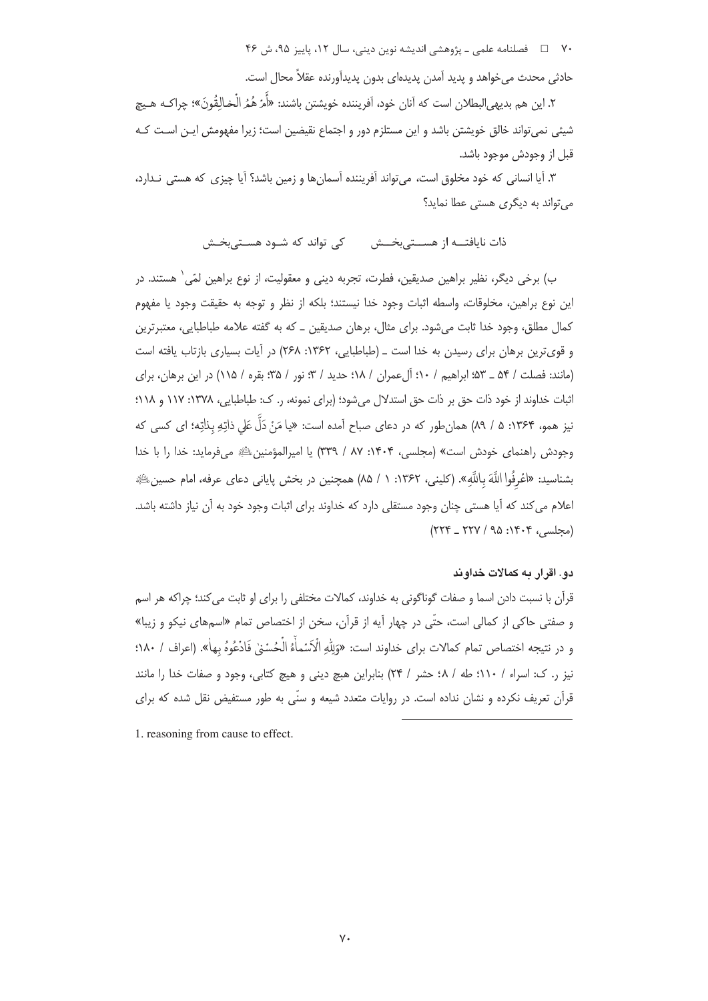۷۰ = □ فصلنامه علمي ـ يژوهشي انديشه نوين ديني، سال ۱۲، پاييز ۹۵، ش ۴۶

حادثی محدث می خواهد و پدید آمدن پدیدهای بدون پدیدآورنده عقلاً محال است.

٢. اين هم بديهي|لبطلان است كه أنان خود، أفريننده خويشتن باشند: «أَمْرْ هُمُ الْخالِقُونَ»؛ چراكـه هـيچ شیئی نمی تواند خالق خویشتن باشد و این مستلزم دور و اجتماع نقیضین است؛ زیرا مفهومش ایـن اسـت کـه قبل از وجودش موجود باشد.

۳. آیا انسانی که خود مخلوق است، می تواند آفریننده آسمانها و زمین باشد؟ آیا چیزی که هستی نـدارد، می تواند به دیگری هستی عطا نماید؟

ذات نایافتـــه از هســــتے،بخـــش میں کے تواند که شــود هســتے،بخــش

ب) برخی دیگر، نظیر براهین صدیقین، فطرت، تجربه دینی و معقولیت، از نوع براهین لمّی` هستند. در این نوع براهین، مخلوقات، واسطه اثبات وجود خدا نیستند؛ بلکه از نظر و توجه به حقیقت وجود یا مفهوم کمال مطلق، وجود خدا ثابت میشود. برای مثال، برهان صدیقین ـ که به گفته علامه طباطبایی، معتبرترین و قویترین برهان برای رسیدن به خدا است ـ (طباطبایی، ۱۳۶۲: ۲۶۸) در آیات بسیاری بازتاب یافته است (مانند: فصلت / ۵۴ \_ ۵۳؛ ابراهيم / ۱۰؛ آلءمران / ۱۸؛ حديد / ۳؛ نور / ۳۵؛ بقره / ۱۱۵) در اين برهان، براي اثبات خداوند از خود ذات حق بر ذات حق استدلال می شود؛ (برای نمونه، ر. ک: طباطبایی، ۱۳۷۸: ۱۱۷ و ۱۱۸؛ نیز همو، ۱۳۶۴: ۵ / ۸۹) همانطور که در دعای صباح آمده است: «یا مَنْ دَلَّ عَلی ذاتِهِ بذلتِه؛ ای کسی که وجودش راهنمای خودش است» (مجلسی، ۱۴۰۴: ۸۷ / ۳۳۹) یا امیرالمؤمنین ﷺ می فرماید: خدا را با خدا بشناسید: «اعْرِفُوا اللَّهَ باللَّهِ». (کلینی، ۱۳۶۲: ۱ / ۸۵) همچنین در بخش پایانی دعای عرفه، امام حسین اللهِ». اعلام می کند که آیا هستی چنان وجود مستقلی دارد که خداوند برای اثبات وجود خود به آن نیاز داشته باشد.  $(778 - 779 / 90 : 19.9$  (محلسی)

## دو. اقرار به کمالات خداوند

قرآن با نسبت دادن اسما و صفات گوناگونی به خداوند، کمالات مختلفی را برای او ثابت می کند؛ چراکه هر اسم و صفتی حاکی از کمالی است، حتّی در چهار آیه از قرآن، سخن از اختصاص تمام «اسمهای نیکو و زیبا» و در نتيجه اختصاص تمام كمالات براي خداوند است: «وَلِلَّهِ الْأَسْماٰءُ الْحُسُنِي فَادْعُوهُ بِهاٰ». (اعراف / ١٨٠؛ نیز ر. ک: اسراء / ١١٠؛ طه / ٤٨ حشر / ٢۴) بنابراین هبچ دینی و هیچ کتابی، وجود و صفات خدا را مانند قرآن تعریف نکرده و نشان نداده است. در روایات متعدد شیعه و سنّی به طور مستفیض نقل شده که برای

1. reasoning from cause to effect.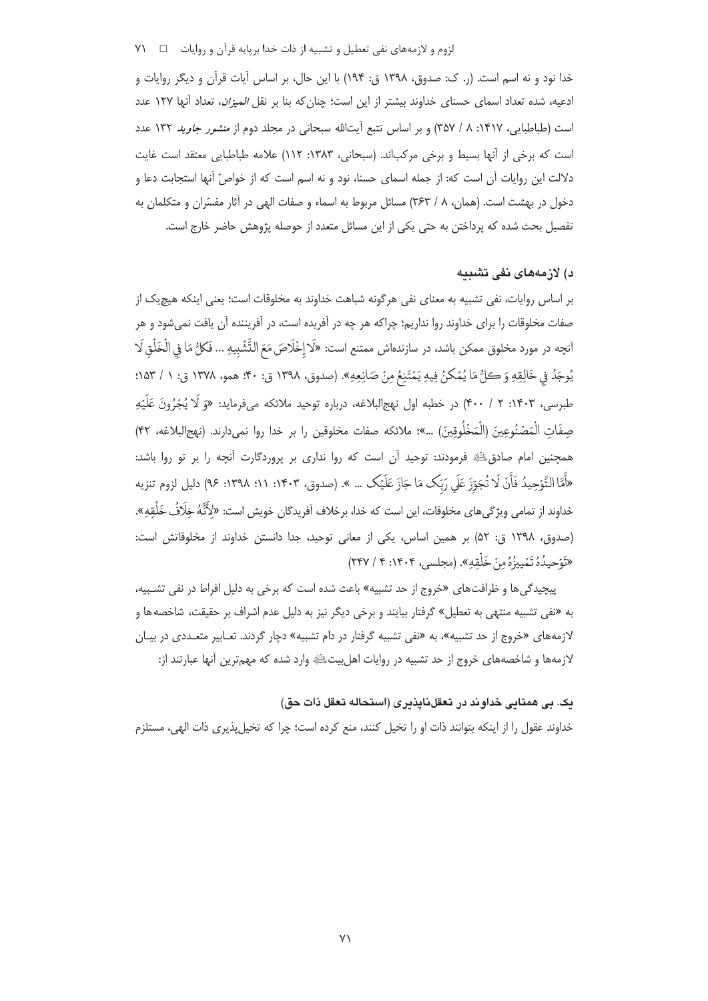لزوم و لازمههای نفی تعطیل و تشبیه از ذات خدا بریایه قرآن و روایات = = ٧١

خدا نود و نه اسم است. (٫. ک: صدوق، ١٣٩٨ ق: ١٩۴) با اين حال، بر اساس آيات قرآن و ديگر روايات و ادعیه، شده تعداد اسمای حسنای خداوند بیشتر از این است؛ چنان که بنا بر نقل *المیزان*، تعداد آنها ۱۲۷ عدد است (طباطبایی، ۱۴۱۷: ۸ / ۳۵۷) و بر اساس تتبع آیتالله سبحانی در مجلد دوم از *منشور جاوید* ۱۳۲ عدد است که برخی از آنها بسیط و برخی مرکباند. (سبحانی، ۱۳۸۳: ۱۱۲) علامه طباطبایی معتقد است غایت دلالت این روایات آن است که: از جمله اسمای حسنا، نود و نه اسم است که از خواصِّ آنها استجابت دعا و دخول در بهشت است. (همان، ۸ / ۳۶۳) مسائل مربوط به اسماء و صفات الهی در آثار مفسّران و متکلمان به تفصیل بحث شده که پرداختن به حتی یکی از این مسائل متعدد از حوصله پژوهش حاضر خارج است.

# د) لازمەھاي نفي تشبيه

بر اساس روایات، نفی تشبیه به معنای نفی هرگونه شباهت خداوند به مخلوقات است؛ یعنی اینکه هیچیک از صفات مخلوقات را برای خداوند روا نداریم؛ چراکه هر چه در آفریده است، در آفریننده آن یافت نمیشود و هر أنچه در مورد مخلوق ممكن باشد، در سازندهاش ممتنع است: «لَا إِخْلَاصَ مَعَ التَّشْبِيهِ ... فَكلُّ مَا في الْخَلْق لَا يُوجَدُ في خَالِقِهِ وَ كلُّ مَا يُمْكنُ فِيهِ يَمْتَنِعُ مِنْ صَانِعِهِ». (صدوق، ١٣٩٨ ق: ٣٠؛ همو، ١٣٧٨ ق: ١ / ١٥٣: طبرسي، ۱۴۰۳: ۲ / ۴۰۰) در خطبه اول نهج|لبلاغه، درباره توحید ملائکه میفرماید: «وَ لَا يُجْرُونَ عَلَيْهِ صِفَاتِ الْمَصْنُوعِينَ (الْمَخْلُوقِينَ) …»؛ ملائكه صفات مخلوقين را بر خدا روا نمي دارند. (نهج|لبلاغه، ۴۲) همچنین امام صادقﷺ فرمودند: توحید آن است که روا نداری بر پروردگارت آنچه را بر تو روا باشد: «أَمَّا التَّوْحِيدُ فَأَنْ لَا تُجَوّزَ عَلَى رَبِّک مَا جَازَ عَلَيْک … ». (صدوق، ١٣٠٣: ١١؛ ١٣٩٨: ٩٤) دليل لزوم تنزيه خداوند از تمامی ویژگی های مخلوقات، این است که خدا، برخلاف آفریدگان خویش است: «لِأَنَّهُ خِلَافُ خَلَٰقِهِ». (صدوق، ١٣٩٨ ق: ٥٢) بر همين اساس، يكي از معاني توحيد، جدا دانستن خداوند از مخلوقاتش است: «تَوْحِيدُهُ تَمْيِيزُهُ مِنْ خَلْقِهِ». (مجلسى، ۱۴۰۴: ۴ / ۲۴۷)

پیچیدگی ها و ظرافت های «خروج از حد تشبیه» باعث شده است که برخی به دلیل افراط در نفی تشـبیه، به «نفي تشبيه منتهي به تعطيل» گرفتار بيايند و برخي ديگر نيز به دليل عدم اشراف بر حقيقت، شاخصه ها و لازمههای «خروج از حد تشبیه»، به «نفی تشبیه گرفتار در دام تشبیه» دچار گردند. تعـابیر متعـددی در بیـان لازمهها و شاخصههای خروج از حد تشبیه در روایات اهلبیتﷺ وارد شده که مهمترین آنها عبارتند از:

## بک. بي همتابي خداوند در تعقلنايذبري (استحاله تعقل ذات حق)

خداوند عقول را از اینکه بتوانند ذات او را تخیل کنند، منع کرده است؛ چرا که تخیل پذیری ذات الهی، مستلزم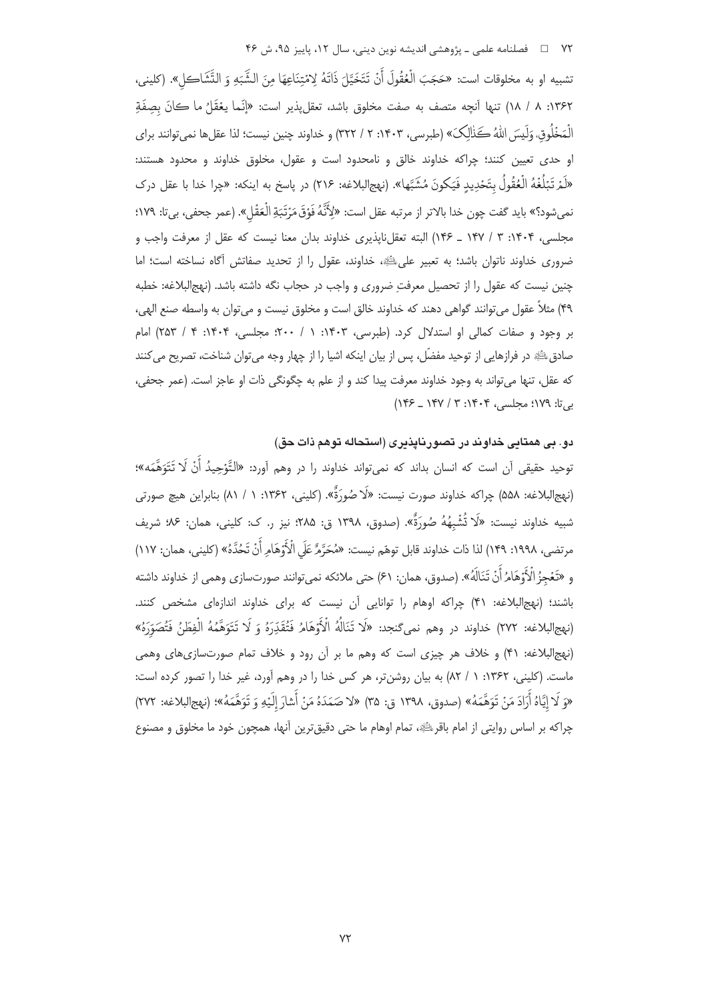تشبيه او به مخلوقات است: «حَجَبَ الْعُقُولَ أَنْ تَتَخَيَّلَ ذَاتَهُ لِامْتِنَاعِهَا مِنَ الشَّبَهِ وَ التَّشَاكل». (كلينى، ١٣۶٢: ٨ / ١٨) تنها أنچه متصف به صفت مخلوق باشد، تعقلپذير است: «إنَّما يعُقَلُ ما كانَ بصِفَةِ الْمَخْلُوق، وَلَيسَ اللهُ كَذٰلِكَ» (طبرسي، ١۴٠٣، ٢ / ٣٢٢) و خداوند چنين نيست؛ لذا عقلها نمي توانند براي او حدی تعیین کنند؛ چراکه خداوند خالق و نامحدود است و عقول، مخلوق خداوند و محدود هستند: «لَمَرْ تَبَلُّغْهُ الْعُقُولُ بِتَحْدِيدٍ فَيَكُونَ مُشَبَّها». (نهج|لبلاغه: ٢١۶) در پاسخ به اينكه: «چرا خدا با عقل درك نمىشود؟» بايد گفت چون خدا بالاتر از مرتبه عقل است: «لِأَنَّهُ فَوْقَ مَرْتَبَةِ الْعَقْل». (عمر جحفى، بىتا: ١٧٩؛ مجلسی، ۱۴۰۴: ۳ / ۱۴۷ ـ ۱۴۶) البته تعقلناپذیری خداوند بدان معنا نیست که عقل از معرفت واجب و ضروری خداوند ناتوان باشد؛ به تعبیر علی اللهِ، خداوند، عقول را از تحدید صفاتش آگاه نساخته است؛ اما چنین نیست که عقول را از تحصیل معرفتِ ضروری و واجب در حجاب نگه داشته باشد. (نهج|لبلاغه: خطبه ۴۹) مثلاً عقول مي توانند گواهي دهند كه خداوند خالق است و مخلوق نيست و مي توان به واسطه صنع الهي، بر وجود و صفات كمالي او استدلال كرد. (طبرسي، ۱۴۰۳: ۱/ ۲۰۰؛ مجلسي، ۱۴۰۴: ۴/ ۲۵۳) امام صادق ﷺ در فرازهایی از توحید مفضّل، پس از بیان اینکه اشیا را از چهار وجه می توان شناخت، تصریح می کنند كه عقل، تنها مي تواند به وجود خداوند معرفت پيدا كند و از علم به چگونگي ذات او عاجز است. (عمر جحفي، بیتا: ۱۷۹؛ مجلسی، ۱۴۰۴: ۳ / ۱۴۷ ـ ۱۴۶)

دو. بی همتایی خداوند در تصورنایذیری (استحاله توهم ذات حق)

توحید حقیقی آن است که انسان بداند که نمی¤واند خداوند را در وهم آورد: «التَّوْحِیدُ أَنْ لَا تَتَوَهَّمَه»؛ (نهج|لبلاغه: ۵۵۸) چراکه خداوند صورت نیست: «لَا صُورَةٌ». (کلینی، ۱۳۶۲: ۱ / ۸۱) بنابراین هیچ صورتی شبيه خداوند نيست: «لَا تُشْبِهُهُ صُورَةٌ». (صدوق، ١٣٩٨ ق: ٢٨۵؛ نيز ر. ک: کليني، همان: ٩۶؛ شريف مرتضى، ١٩٩٨: ١۴٩) لذا ذات خداوند قابل توهّم نيست: «مُحَرَّمٌ عَلَى الْأَوْهَامِ أَنْ تَحُدَّهُ» (كليني، همان: ١١٧) و «تَعْجِزُ الْأَوْهَامُ أَنْ تَنَالَهُ». (صدوق، همان: ۶۱) حتى ملائكه نمى توانند صورتسازى وهمى از خداوند داشته باشند؛ (نهجالبلاغه: ۴۱) چراکه اوهام را توانایی آن نیست که برای خداوند اندازهای مشخص کنند. (نهج|لبلاغه: ٢٧٢) خداوند در وهم نمي گنجد: «لَا تَنَالُهُ الْأَوْهَامُ فَتُقَدِّرَهُ وَ لَا تَتَوَهَّمُهُ الْفِطَنُ فَتُصَوّرَهُ» (نهج|لبلاغه: ۴۱) و خلاف هر چیزی است که وهم ما بر آن رود و خلاف تمام صورتسازیهای وهمی ماست. (کلینی، ۱۳۶۲: ۱ / ۸۲) به بیان روشنتر، هر کس خدا را در وهم آورد، غیر خدا را تصور کرده است: «وَ لَا إِيَّاهُ أَرَادَ مَنْ تَوَهَّمَهُ» (صدوق، ١٣٩٨ ق: ٣۵) «لا صَمَدَهُ مَنْ أَشارَ إِلَيْهِ وَ تَوَهَّمَهُ»؛ (نهجالبلاغه: ٢٧٢) چراکه بر اساس روایتی از امام باقرﷺ، تمام اوهام ما حتی دقیقترین آنها، همچون خود ما مخلوق و مصنوع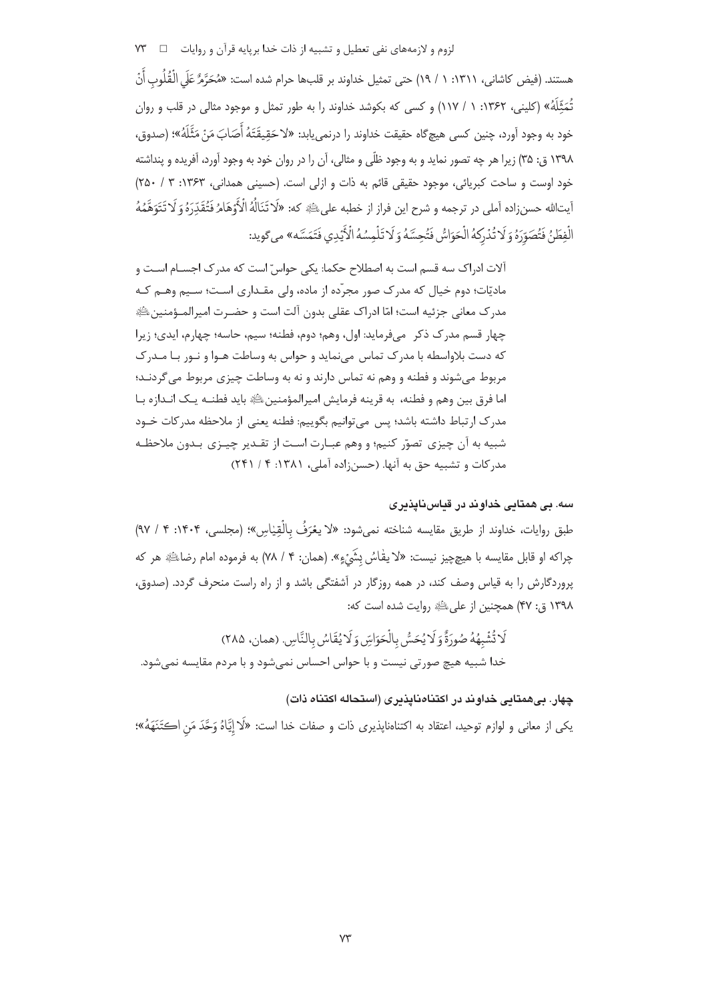هستند. (فيض كاشانى، ١٣١١: ١ / ١٩) حتى تمثيل خداوند بر قلبها حرام شده است: «مُحَرَّمٌ عَلَى الْقُلُوب أَنْ تُمَثِّلَهُ» (کلینی، ۱۳۶۲: ۱ / ۱۱۷) و کسی که بکوشد خداوند را به طور تمثل و موجود مثالی در قلب و روان خود به وجود آورد، چنین کسی هیچگاه حقیقت خداوند را درنمیeبابد: «لا حَقِیقَتَهُ أَصَابَ مَنْ مَثَّلَهُ»؛ (صدوق، ۱۳۹۸ ق: ۳۵) زیرا هر چه تصور نماید و به وجود ظلّی و مثالی، آن را در روان خود به وجود آورد، آفریده و پنداشته خود اوست و ساحت كبريائي، موجود حقيقى قائم به ذات و ازلى است. (حسينى همدانى، ١٣۶٣: ٣ / ٢٥٠) أيتالله حسنزاده أملى در ترجمه و شرح اين فراز از خطبه علىﷺ كه: «لَا تَنَالُهُ الْأَوْهَامُ فَتُقَدِّرَهُ وَ لَا تَتَوَهَّمُهُ الْفِطَنُ فَتُصَوّرَهُ وَ لَا تُدْرِكهُ الْحَوَاسُّ فَتُحِسَّهُ وَ لَا تَلْمِسُهُ الْأَيْدِي فَتَمَسَّه» مي گويد:

۔<br>آلات ادراک سه قسم است به اصطلاح حکما: یکی حواس ّ است که مدر ک اجسـام اسـت و مادیّات؛ دوم خیال که مدرک صور مجرّده از ماده، ولی مقـداری اسـت؛ سـیم وهـم کـه مدرک معانی جزئیه است؛ امّا ادراک عقلی بدون آلت است و حضـرت امیرالمــؤمنینﷺ چهار قسم مدرک ذکر میفرماید: اول، وهم؛ دوم، فطنه؛ سیم، حاسه؛ چهارم، ایدی؛ زیرا که دست بلاواسطه با مدرک تماس می نماید و حواس به وساطت هـوا و نـور بـا مـدرک مربوط می شوند و فطنه و وهم نه تماس دارند و نه به وساطت چیزی مربوط می گردنـد؛ اما فرق بين وهم و فطنه، به قرينه فرمايش اميرالمؤمنينﷺ بايد فطنــه يـك انــدازه بــا مدرک ارتباط داشته باشد؛ پس میتوانیم بگوییم: فطنه یعنی از ملاحظه مدرکات خــود شبيه به آن چيزي تصوّر كنيم؛ و وهم عبـارت اسـت از تقـدير چيـزي بـدون ملاحظـه مدركات و تشبيه حق به آنها. (حسن;اده آملي، ١٣٨١: ٤ / ٢۴١)

# سه. بے همتانی خداوند در قناس ناپذیری

طبق روايات، خداوند از طريق مقايسه شناخته نمىشود: «لا يعْرَفُ بِالْقِيْاسِ»؛ (مجلسى، ۱۴۰۴: ۴ / ۹۷) چراکه او قابل مقايسه با هيچچيز نيست: «لا يقاسُ بشَيْءٍ». (همان: ۴ / ۷۸) به فرموده امام رضاﷺ هر که پروردگارش را به قیاس وصف کند، در همه روزگار در آشفتگی باشد و از راه راست منحرف گردد. (صدوق، ۱۳۹۸ ق: ۴۷) همچنین از علی الله وایت شده است که:

لَا تُشْبِهُهُ صُورَةً وَلَا يُحَسُّ بِالْحَوَاسِّ وَلَا يُقَاسُ بِالنَّاسِ. (همان، ٢٨٥) خدا شبیه هیچ صورتی نیست و با حواس احساس نمی شود و با مردم مقایسه نمی شود.

## چهار. بیهمتابی خداوند در اکتنامنایذیری (استحاله اکتناه ذات)

يكي از معاني و لوازم توحيد، اعتقاد به اكتناهناپذيري ذات و صفات خدا است: «لَا إِيَّاهُ وَحَّدَ مَن اكتَنَهَهُ»؛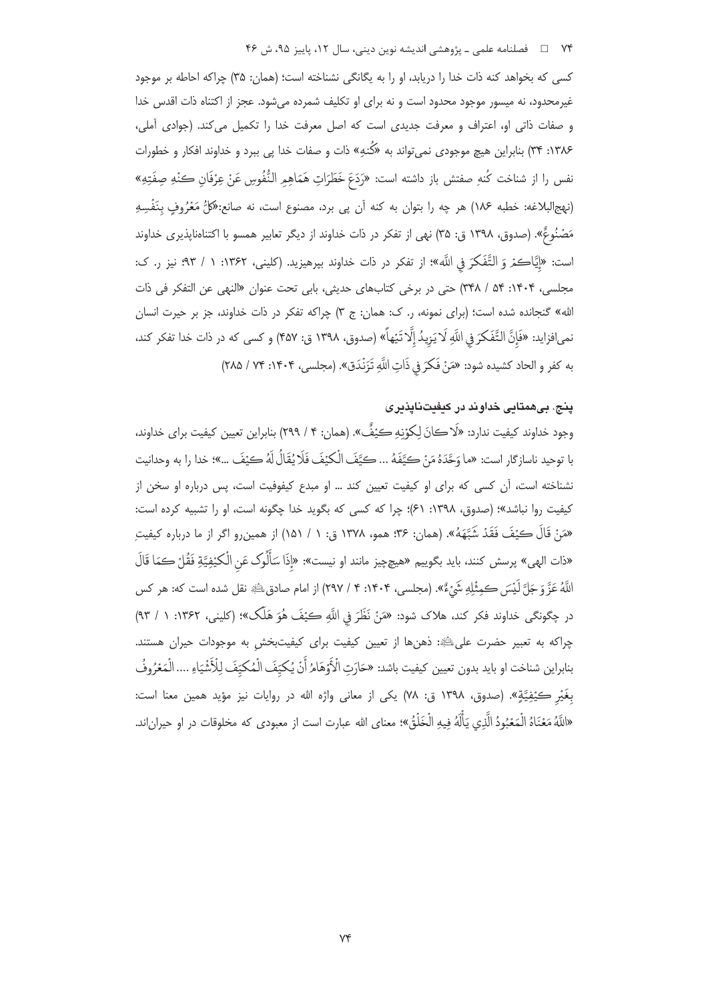#### ۷۴ فصلنامه علمي ـ یژوهشي اندیشه نوین دینی، سال ۱۲، پاییز ۹۵، ش ۴۶

كسى كه بخواهد كنه ذات خدا را دريابد، او را به يگانگى نشناخته است؛ (همان: ٣۵) چراكه احاطه بر موجود غیرمحدود، نه میسور موجود محدود است و نه برای او تکلیف شمرده میشود. عجز از اکتناه ذات اقدس خدا و صفات ذاتی او، اعتراف و معرفت جدیدی است که اصل معرفت خدا را تکمیل می کند. (جوادی أملی، ۱۳۸۶: ۳۴) بنابراین هیچ موجودی نمیٍتواند به «کُنهِ» ذات و صفات خدا پی ببرد و خداوند افکار و خطورات نفس را از شناخت كُنهِ صفتش باز داشته است: «رَدَعَ خَطَرَاتِ هَمَاهِمِ النُّفُوسِ عَنْ عِرْفَانِ كُنْهِ صِفَتِهِ» (نهج|لبلاغه: خطبه ۱۸۶) هر چه را بتوان به کنه آن پی برد، مصنوع است، نه صانع:«کَلُّ مَعْرُوفٍ بِنَفْسِهِ مَصۡنُوعٌ». (صدوق، ١٣٩٨ ق: ٣۵) نهى از تفكر در ذات خداوند از ديگر تعابير همسو با اكتناهناپذيرى خداوند است: «إِيَّاكمْ وَ التَّفَكَّرَ فِي اللَّه»؛ از تفكر در ذات خداوند بپرهيزيد. (كليني، ١٣۶٢: ١ / ٩٣؛ نيز ر. ک: مجلسي، ١۴٠۴: ۵۴ / ٣۴٨) حتى در برخى كتابهاى حديثى، بابى تحت عنوان «النهى عن التفكر فى ذات الله» گنجانده شده است؛ (برای نمونه، ر. ک: همان: ج ۳) چراکه تفکر در ذات خداوند، جز بر حیرت انسان نمى|فزايد: «فَإِنَّ التَّفَكَّرَ فِي اللَّهِ لَا يَزِيدُ إِلَّا تَيْهاً» (صدوق، ١٣٩٨ ق: ۴۵٧) و كسى كه در ذات خدا تفكر كند، به كفر و الحاد كشيده شود: «مَنْ فَكَرَ فِي ذَاتِ اللَّهِ تَزَنْدَق». (مجلسي، ۱۴۰۴: ۲۸۵ / ۲۸۵)

# پنج. بیهمتایی خداوند در کیفیتناپذیری

وجود خداوند كيفيت ندارد: «لَا كانَ لِكوْنِهِ كيْفٌ». (همان: ۴ / ٢٩٩) بنابراين تعيين كيفيت براي خداوند، با توحيد ناسازِگار است: «ما وَحَّدَهُ مَنْ كِيَّفَهُ ... كَيَّفَ الْكِيْفَ فَلَا يُقَالُ لَهُ كَيْفَ …»؛ خدا را به وحدانيت نشناخته است، آن کسی که برای او کیفیت تعیین کند … او مبدع کیفوفیت است، پس درباره او سخن از كيفيت روا نباشد»؛ (صدوق، ١٣٩٨: ٤١)؛ چرا كه كسى كه بگويد خدا چگونه است، او را تشبيه كرده است: «مَنْ قَالَ كيْفَ فَقَدْ شَبَّهَهُ». (همان: ٣۶؛ همو، ١٣٧٨ ق: ١ / ١۵١) از همين٫و اگر از ما درباره كيفيتِ «ذات الهي» پرسش كنند، بايد بگوييم «هيچچيز مانند او نيست»: «إِذَا سَأَلُوك عَنِ الْكَيْفِيَّةِ فَقُلْ كمَا قَالَ اللَّهُ عَزَّ وَجَلَّ لَيْسَ كَمِثْلِهِ شَيْءٌ». (مجلسي، ۱۴۰۴: ۴ / ۲۹۷) از امام صادقﷺ نقل شده است كه: هر كس در چگونگی خداوند فکر کند، هلاک شود: «مَنْ نَظَرَ في اللَّهِ كيْفَ هُوَ هَلَک»؛ (کليني، ۱۳۶۲: ۱ / ۹۳) چراکه به تعبیر حضرت علی الله : ذهنها از تعیین کیفیت برای کیفیتبخش به موجودات حیران هستند. بنابراين شناخت او بايد بدون تعيين كيفيت باشد: «حَارَتِ الْأَوْهَامُ أَنْ يُكيِّفَ الْمُكيِّفَ لِلْأَشْيَاءِ .... الْمَعْرُوفُ بغَيْرِ ڪيُفِيَّةٍ». (صدوق، ١٣٩٨ ق: ٧٨) يکي از معاني واژه الله در روايات نيز مؤيد همين معنا است: «اللَّهُ مَعْنَاهُ الْمَعْبُودُ الَّذِي يَأْلَهُ فِيهِ الْخَلْقُ»؛ معناي الله عبارت است از معبودي كه مخلوقات در او حيران|ند.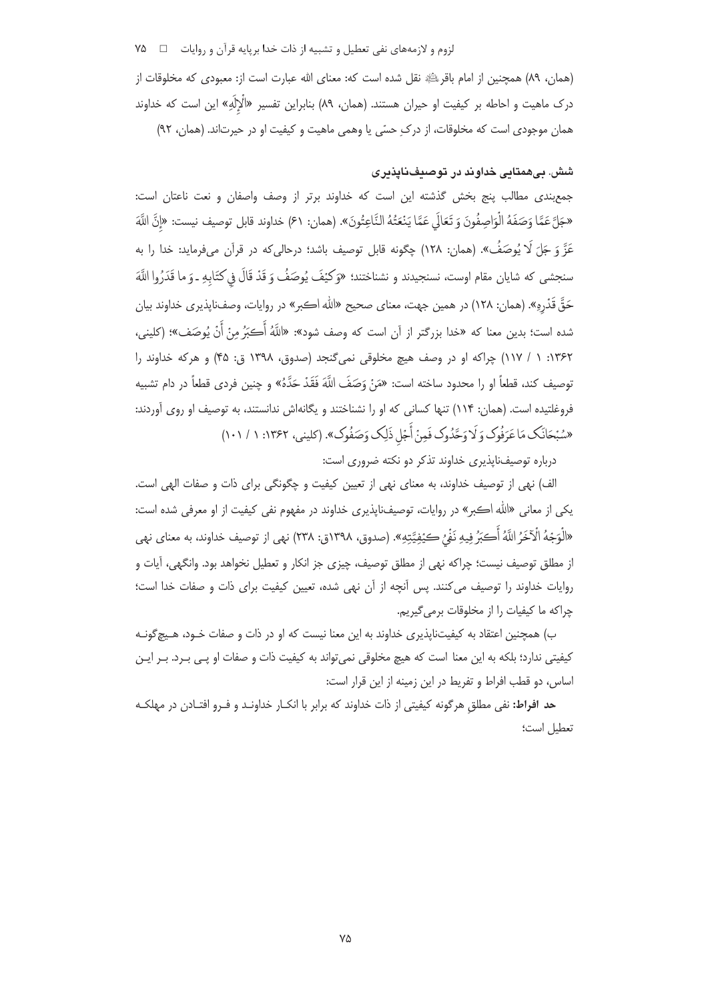لزوم و لازمههای نفی تعطیل و تشبیه از ذات خدا بریایه قرآن و روایات □ ۷۵

(همان، ٨٩) همچنين از امام باقر $\mathbb{P}_k$  نقل شده است كه: معناي الله عبارت است از: معبودي كه مخلوقات از درک ماهیت و احاطه بر کیفیت او حیران هستند. (همان، ۸۹) بنابراین تفسیر «الٌاِلَهِ» این است که خداوند همان موجودی است که مخلوقات، از درکِ حسّی یا وهمی ماهیت و کیفیت او در حیرتاند. (همان، ۹۲)

# شش. بےهمتانی خداوند در توصیف ناپذیری

جمع بندی مطالب پنج بخش گذشته این است که خداوند برتر از وصف واصفان و نعت ناعتان است: «جَلَّ عَمَّا وَصَفَهُ الْوَاصِفُونَ وَ تَعَالَى عَمَّا يَنْعَتُهُ النَّاعِتُونَ». (همان: ۶۱) خداوند قابل توصيف نيست: «إنَّ اللَّهَ عَزَّ وَ جَلِّ لَا يُوصَفُ». (همان: ١٢٨) چگونه قابل توصيف باشد؛ درحالي كه در قرآن ميفرمايد: خدا را به سنجشى كه شايان مقام اوست، نسنجيدند و نشناختند؛ «وَكَيْفَ يُوصَفُ وَ قَدْ قَالَ فِي كتَابِهِ ـ وَ ما قَدَرُوا اللَّهَ حَقَّ قَدْرِهِ». (همان: ۱۲۸) در همین جهت، معنای صحیح «الله اكبر» در روایات، وصفناپذیری خداوند بیان شده است؛ بدين معنا كه «خدا بزرگتر از آن است كه وصف شود»: «اللَّهُ أَڪَرُ منْ أَنْ يُوصَف»؛ (كلينے، ۱۳۶۲: ۱ / ۱۱۷) چراکه او در وصف هیچ مخلوقی نمیگنجد (صدوق، ۱۳۹۸ ق: ۴۵) و هرکه خداوند را توصيف كند، قطعاً او را محدود ساخته است: «مَنْ وَصَفَ اللَّهَ فَقَدْ حَدَّهُ» و چنين فردي قطعاً در دام تشبيه فروغلتیده است. (همان: ۱۱۴) تنها کسانی که او را نشناختند و یگانهاش ندانستند، به توصیف او روی آوردند: «سُبْحَانَک مَاعَرَفُوک وَ لَا وَحَّدُوک فَمِنْ أَجْلِ ذَلِک وَصَفُوک». (کلینی، ۱۳۶۲: ۱ / ۱۰۱)

درباره توصیفناپذیری خداوند تذکر دو نکته ضروری است:

الف) نهی از توصیف خداوند، به معنای نهی از تعیین کیفیت و چگونگی برای ذات و صفات الهی است. يکي از معاني «الله اڪبر» در روايات، توصيفناپذيري خداوند در مفهوم نفي کيفيت از او معرفي شده است: «الْوَجْهُ الْآخَرُ اللَّهُ أَكِبَرُ فِيهِ نَفْيٌ كَيُفِيَّتِهِ». (صدوق، ١٣٩٨ق: ٢٣٨) نهى از توصيف خداوند، به معناي نهى از مطلق توصيف نيست؛ چراكه نهى از مطلق توصيف، چيزى جز انكار و تعطيل نخواهد بود. وانگهى، آيات و روایات خداوند را توصیف می کنند. پس آنچه از آن نهی شده، تعیین کیفیت برای ذات و صفات خدا است؛ چراکه ما کیفیات را از مخلوقات برمی گیریم.

ب) همچنین اعتقاد به کیفیتناپذیری خداوند به این معنا نیست که او در ذات و صفات خـود، هـیچ گونـه کیفیتی ندارد؛ بلکه به این معنا است که هیچ مخلوقی نمی تواند به کیفیت ذات و صفات او پـی بـرد. بـر ایـن اساس، دو قطب افراط و تفريط در اين زمينه از اين قرار است:

حد افراط: نفی مطلق هرگونه کیفیتی از ذات خداوند که برابر با انکـار خداونـد و فـرو افتـادن در مهلکـه تعطيل است؛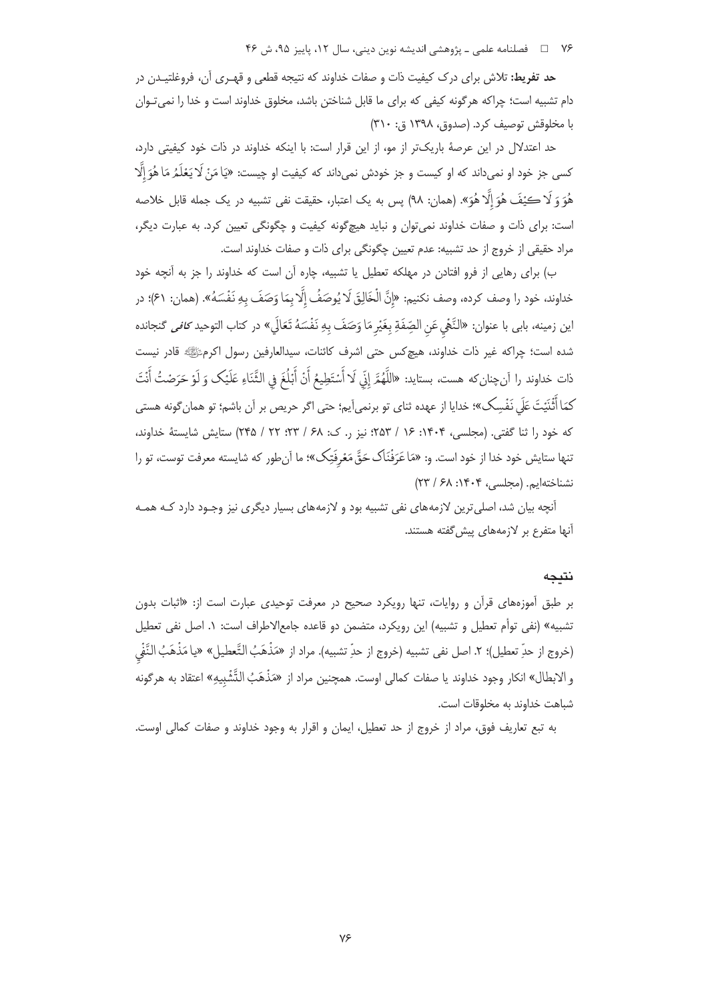۷۶ □ فصلنامه علمی ـ یژوهشی اندیشه نوین دینی، سال ۱۲، پاییز ۹۵، ش ۴۶

ح**د تفریط:** تلاش برای درک کیفیت ذات و صفات خداوند که نتیجه قطعی و قهـری آن، فروغلتیـدن در دام تشبیه است؛ چراکه هرگونه کیفی که برای ما قابل شناختن باشد، مخلوق خداوند است و خدا را نمی تـوان با مخلوقش توصيف كرد. (صدوق، ١٣٩٨ ق: ٣١٠)

حد اعتدلال در این عرصهٔ باریکتر از مو، از این قرار است: با اینکه خداوند در ذات خود کیفیتی دارد، کسی جز خود او نمیداند که او کیست و جز خودش نمیداند که کیفیت او چیست: «یَا مَنْ لَا یَعْلَمُ مَا هُوَ إِلَّا هُوَ وَ لَا كَيْفَ هُوَ إِلَّا هُوَ». (همان: ٩٨) پس به يک اعتبار، حقيقت نفى تشبيه در يک جمله قابل خلاصه است: برای ذات و صفات خداوند نمی توان و نباید هیچ گونه کیفیت و چگونگی تعیین کرد. به عبارت دیگر، مراد حقیقی از خروج از حد تشبیه: عدم تعیین چگونگی برای ذات و صفات خداوند است.

ب) برای رهایی از فرو افتادن در مهلکه تعطیل یا تشبیه، چاره آن است که خداوند را جز به آنچه خود خداوند، خود را وصف كرده، وصف نكنيم: «إِنَّ الْخَالِقَ لَا يُوصَفُ إِلَّا بِمَا وَصَفَ بِهِ نَفْسَهُ». (همان: ۶۱)؛ در اين زمينه، بابي با عنوان: «النَّهْي عَن الصِّفَةِ بِغَيْرِ مَا وَصَفَ بِهِ نَفْسَهُ تَعَالَي» در كتاب التوحيد *كافي* گنجانده شده است؛ چراکه غیر ذات خداوند، هیچکس حتی اشرف کائنات، سیدالعارفین رسول اکرمﷺ قادر نیست ذات خداوند را آنچنانِ كه هست، بستايد: «اللَّهُمَّ إنِّي لَا أَسْتَطِيعُ أَنْ أَبْلُغَ في الثَّنَاءِ عَلَيْك وَ لَوْ حَرَصْتُ أَنْتَ كمَا أَثْنَيْتَ عَلَى نَفْسِك»؛ خدايا از عهده ثناي تو برنمي[يم؛ حتى اگر حريص بر اَن باشم؛ تو همان گونه هستي که خود را ثنا گفتی. (مجلسی، ۱۴۰۴: ۱۶ / ۲۵۳؛ نیز ر. ک: ۶۸ / ۲۳؛ ۲۲ / ۲۴۵) ستایش شایستهٔ خداوند، تنها ستایش خود خدا از خود است. و: «مَاعَرَفْنَاک حَقَّ مَعْرفَتِک»؛ ما آنِ طور که شایسته معرفت توست، تو را نشناختهایم. (محلسی، ۱۴۰۴: ۶۸/ ۲۳)

آنچه بیان شد، اصلی ترین لازمههای نفی تشبیه بود و لازمههای بسیار دیگری نیز وجـود دارد کـه همـه آنها متفرع بر لازمههای پیش گفته هستند.

#### نتىجە

بر طبق آموزههای قرآن و روایات، تنها رویکرد صحیح در معرفت توحیدی عبارت است از: «اثبات بدون تشبيه» (نفي توأم تعطيل و تشبيه) اين رويكرد، متضمن دو قاعده جامعالاطراف است: ١. اصل نفي تعطيل (خروج از حدِّ تعطيل)؛ ٢. اصل نفي تشبيه (خروج از حدِّ تشبيه). مراد از «مَذْهَبُ التَّعطيل» «يا مَذْهَبُ النَّفْي و الابطال» انكار وجود خداوند يا صفات كمالي اوست. همچنين مراد از «مَذْهَبُ التَّشْبِيهِ» اعتقاد به هرگونه شباهت خداوند به مخلوقات است.

به تبع تعاريف فوق، مراد از خروج از حد تعطيل، ايمان و اقرار به وجود خداوند و صفات كمالي اوست.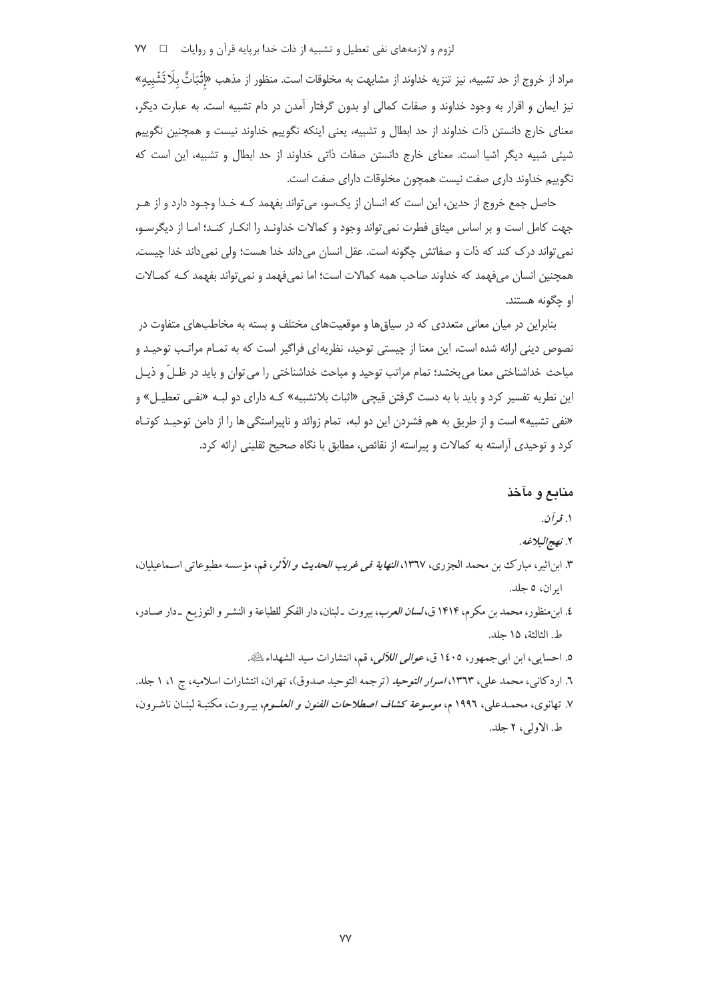مراد از خروج از حد تشبيه، نيز تنزيه خداوند از مشابهت به مخلوقات است. منظور از مذهب «إِثْبَاتٌ بِلَا تَشْبِيهِ» نیز ایمان و اقرار به وجود خداوند و صفات کمالی او بدون گرفتار آمدن در دام تشبیه است. به عبارت دیگر، معنای خارج دانستن ذات خداوند از حد ابطال و تشبیه، یعنی اینکه نگوییم خداوند نیست و همچنین نگوییم شیئی شبیه دیگر اشیا است. معنای خارج دانستن صفات ذاتی خداوند از حد ابطال و تشبیه، این است که نگوییم خداوند داری صفت نیست همچون مخلوقات دارای صفت است.

حاصل جمع خروج از حدین، این است که انسان از یکسو، می تواند بفهمد کـه خـدا وجـود دارد و از هـر جهت كامل است و بر اساس میثاق فطرت نمی تواند وجود و كمالات خداونـد را انكـار كنـد؛ امـا از دیگرسـو، نمي تواند درك كند كه ذات و صفاتش چگونه است. عقل انسان مي داند خدا هست؛ ولي نمي داند خدا چيست. همچنین انسان میفهمد که خداوند صاحب همه کمالات است؛ اما نمیفهمد و نمیٍ تواند بفهمد کـه کمـالات او چگونه هستند.

بنابراین در میان معانی متعددی که در سیاق ها و موقعیتهای مختلف و بسته به مخاطبهای متفاوت در نصوص دینی ارائه شده است، این معنا از چیستی توحید، نظریهای فراگیر است که به تمـام مراتـب توحیـد و مباحث خداشناختی معنا می بخشد؛ تمام مراتب توحید و مباحث خداشناختی را می توان و باید در ظـلّ و ذیـل این نطریه تفسیر کرد و باید با به دست گرفتن قیچی «اثبات بلاتشبیه» کـه دارای دو لبـه «نفـی تعطیـل» و «نفی تشبیه» است و از طریق به هم فشردن این دو لبه، تمام زوائد و ناپیراستگی ها را از دامن توحیـد کوتـاه کرد و توحیدی آراسته به کمالات و پیراسته از نقائص، مطابق با نگاه صحیح ثقلینی ارائه کرد.

#### منابع و مآخذ

#### ۱. قرآن.

#### ٢. نهج البلاغه.

- ٣. ابن|ثير، مبارك بن محمد الجزري، ١٣٦٧، *النهاية في غريب الحديث و الأثر*، قم، مؤسسه مطبوعاتي اسـماعيليان، ايران، ٥ جلد.
- ٤. ابن منظور، محمد بن مكرم، ١٤١۴ ق، *لسان العرب*، بيروت ـ لبنان، دار الفكر للطباعة و النشـر و التوزيـع ـ دار صـادر، ط. الثالثة، ١۵ حلد.
	- ٥. احسابي، ابن ابي جمهو ر، ١٤٠٥ ق، *عوالي اللألي،* قم، انتشارات سيد الشهداء ﷺ.
- ٦. اردكاني، محمد علي، ١٣٦٣، *اسرار التوحيد* (ترجمه التوحيد صدوق)، تهران، انتشارات اسلاميه، چ ١، ١ جلد. ۷. تهانوی، محمـدعلی، ۱۹۹٦ م، *موسوعة كشاف اصطلاحات الفنون و العلــوم*، بيـروت، مكتبـة لبنـان ناشـرون، ط. الاولى، ٢ جلد.